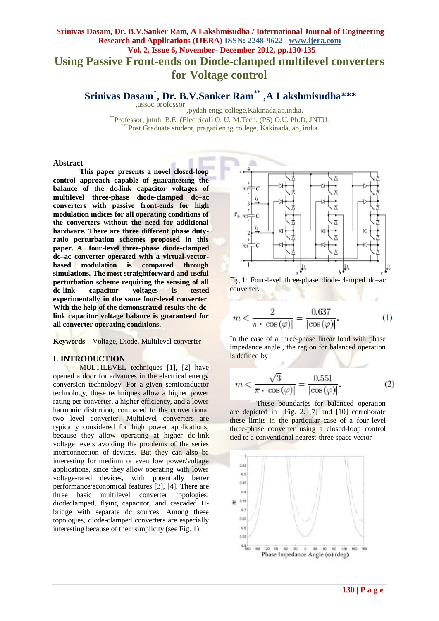# **Srinivas Dasam, Dr. B.V.Sanker Ram, A Lakshmisudha / International Journal of Engineering Research and Applications (IJERA) ISSN: 2248-9622 www.ijera.com Vol. 2, Issue 6, November- December 2012, pp.130-135 Using Passive Front-ends on Diode-clamped multilevel converters for Voltage control**

**Srinivas Dasam\* , Dr. B.V.Sanker Ram\*\* ,A Lakshmisudha\*\*\***

\* assoc professor ,pydah engg college,Kakinada,ap,india. \*\*Professor, jntuh, B.E. (Electrical) O. U, M.Tech. (PS) O.U, Ph.D, JNTU. \*Post Graduate student, pragati engg college, Kakinada, ap, india

#### **Abstract**

**This paper presents a novel closed-loop control approach capable of guaranteeing the balance of the dc-link capacitor voltages of multilevel three-phase diode-clamped dc–ac converters with passive front-ends for high modulation indices for all operating conditions of the converters without the need for additional hardware. There are three different phase dutyratio perturbation schemes proposed in this paper. A four-level three-phase diode-clamped dc–ac converter operated with a virtual-vectorbased modulation is compared through simulations. The most straightforward and useful perturbation scheme requiring the sensing of all dc-link capacitor voltages is tested experimentally in the same four-level converter. With the help of the demonstrated results the dclink capacitor voltage balance is guaranteed for all converter operating conditions.** 

**Keywords** – Voltage, Diode, Multilevel converter

## **I. INTRODUCTION**

MULTILEVEL techniques [1], [2] have opened a door for advances in the electrical energy conversion technology. For a given semiconductor technology, these techniques allow a higher power rating per converter, a higher efficiency, and a lower harmonic distortion, compared to the conventional two level converter. Multilevel converters are typically considered for high power applications, because they allow operating at higher dc-link voltage levels avoiding the problems of the series interconnection of devices. But they can also be interesting for medium or even low power/voltage applications, since they allow operating with lower voltage-rated devices, with potentially better performance/economical features [3], [4]. There are three basic multilevel converter topologies: diodeclamped, flying capacitor, and cascaded Hbridge with separate dc sources. Among these topologies, diode-clamped converters are especially interesting because of their simplicity (see Fig. 1):





$$
m < \frac{2}{\pi \cdot |\cos(\varphi)|} = \frac{0.637}{|\cos(\varphi)|}.\tag{1}
$$

In the case of a three-phase linear load with phase impedance angle , the region for balanced operation is defined by

$$
m < \frac{\sqrt{3}}{\pi \cdot |\cos(\varphi)|} = \frac{0.551}{|\cos(\varphi)|}.\tag{2}
$$

These boundaries for balanced operation are depicted in Fig. 2. [7] and [10] corroborate these limits in the particular case of a four-level three-phase converter using a closed-loop control tied to a conventional nearest-three space vector

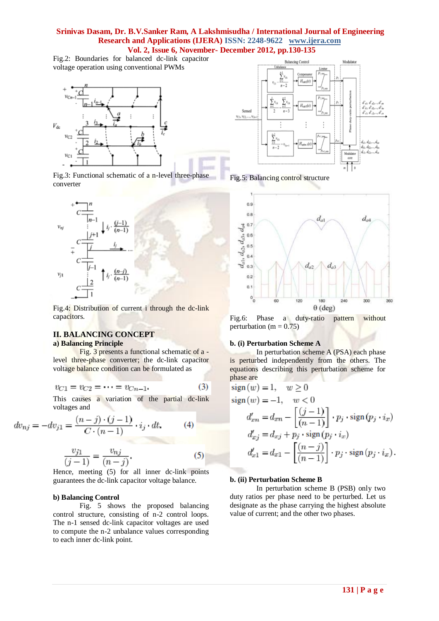Fig.2: Boundaries for balanced dc-link capacitor voltage operation using conventional PWMs



Fig.3: Functional schematic of a n-level three-phase converter



Fig.4: Distribution of current i through the dc-link capacitors.

# **II. BALANCING CONCEPT**

# **a) Balancing Principle**

Fig. 3 presents a functional schematic of a level three-phase converter; the dc-link capacitor voltage balance condition can be formulated as

$$
v_{C1} = v_{C2} = \dots = v_{Cn-1}.\tag{3}
$$

This causes a variation of the partial dc-link voltages and

$$
dv_{nj} = -dv_{j1} = \frac{(n-j) \cdot (j-1)}{C \cdot (n-1)} \cdot i_j \cdot dt.
$$
 (4)

$$
\frac{v_{j1}}{(j-1)} = \frac{v_{nj}}{(n-j)}.
$$
 (5)

Hence, meeting (5) for all inner dc-link points guarantees the dc-link capacitor voltage balance.

#### **b) Balancing Control**

Fig. 5 shows the proposed balancing control structure, consisting of n-2 control loops. The n-1 sensed dc-link capacitor voltages are used to compute the n-2 unbalance values corresponding to each inner dc-link point.



Fig.5: Balancing control structure



Fig.6: Phase a duty-ratio pattern without perturbation (m =  $0.75$ )

#### **b. (i) Perturbation Scheme A**

In perturbation scheme A (PSA) each phase is perturbed independently from the others. The equations describing this perturbation scheme for phase are

$$
sign(w) = 1, \quad w \ge 0
$$
  
\n
$$
sign(w) = -1, \quad w < 0
$$
  
\n
$$
d'_{xn} = d_{xn} - \left[ \frac{(j-1)}{(n-1)} \right] \cdot p_j \cdot sign(p_j \cdot i_x)
$$
  
\n
$$
d'_{xj} = d_{xj} + p_j \cdot sign(p_j \cdot i_x)
$$
  
\n
$$
d'_{x1} = d_{x1} - \left[ \frac{(n-j)}{(n-1)} \right] \cdot p_j \cdot sign(p_j \cdot i_x).
$$

#### **b. (ii) Perturbation Scheme B**

In perturbation scheme B (PSB) only two duty ratios per phase need to be perturbed. Let us designate as the phase carrying the highest absolute value of current; and the other two phases.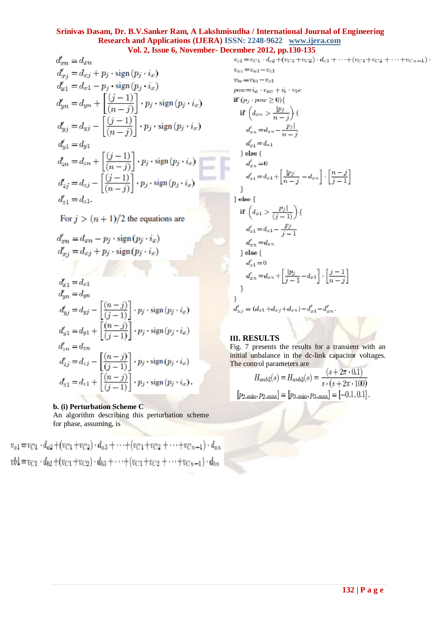$$
d'_{xn} = d_{xn}
$$
  
\n
$$
d'_{xj} = d_{xj} + p_j \cdot \text{sign}(p_j \cdot i_x)
$$
  
\n
$$
d'_{x1} = d_{x1} - p_j \cdot \text{sign}(p_j \cdot i_x)
$$
  
\n
$$
d'_{yn} = d_{yn} + \left[\frac{(j-1)}{(n-j)}\right] \cdot p_j \cdot \text{sign}(p_j \cdot i_x)
$$
  
\n
$$
d'_{yj} = d_{yj} - \left[\frac{(j-1)}{(n-j)}\right] \cdot p_j \cdot \text{sign}(p_j \cdot i_x)
$$
  
\n
$$
d'_{y1} = d_{y1}
$$
  
\n
$$
d_{zn} = d_{zn} + \left[\frac{(j-1)}{(n-j)}\right] \cdot p_j \cdot \text{sign}(p_j \cdot i_x)
$$
  
\n
$$
d'_{zj} = d_{zj} - \left[\frac{(j-1)}{(n-j)}\right] \cdot p_j \cdot \text{sign}(p_j \cdot i_x)
$$
  
\n
$$
d'_{z1} = d_{z1}.
$$

For  $j > (n + 1)/2$  the equations are

$$
d'_{xn} = d_{xn} - p_j \cdot \text{sign}(p_j \cdot i_x)
$$
  

$$
d'_{xj} = d_{xj} + p_j \cdot \text{sign}(p_j \cdot i_x)
$$

$$
\begin{aligned} d'_{x1} &= d_{x1}\\ d'_{yn} &= d_{yn}\\ d'_{yj} &= d_{yj} - \left[\frac{(n-j)}{(j-1)}\right] \cdot p_j \cdot \mathrm{sign}\left(p_j \cdot i_x\right)\\ d'_{y1} &= d_{y1} + \left[\frac{(n-j)}{(j-1)}\right] \cdot p_j \cdot \mathrm{sign}\left(p_j \cdot i_x\right)\\ d'_{zn} &= d_{zn}\\ d'_{zj} &= d_{zj} - \left[\frac{(n-j)}{(j-1)}\right] \cdot p_j \cdot \mathrm{sign}\left(p_j \cdot i_x\right)\\ d_{z1} &= d_{z1} + \left[\frac{(n-j)}{(j-1)}\right] \cdot p_j \cdot \mathrm{sign}\left(p_j \cdot i_x\right). \end{aligned}
$$

# **b. (i) Perturbation Scheme C**

An algorithm describing this perturbation scheme for phase, assuming, is

 $v_{a1} = v_{C1} \cdot d_{a2} + (v_{C1} + v_{C2}) \cdot d_{a3} + \cdots + (v_{C1} + v_{C2} + \cdots + v_{Cn-1}) \cdot d_{an}$  $vb1 = v_{C1} \cdot d_{b2} + (v_{C1} + v_{C2}) \cdot d_{b3} + \cdots + (v_{C1} + v_{C2} + \cdots + v_{Cn-1}) \cdot d_{bn}$ 

$$
v_{c1} = v_{C1} \cdot d_{c2} + (v_{C1} + v_{C2}) \cdot d_{c3} + \cdots + (v_{C1} + v_{C2} + \cdots + v_{Cn-1}) \cdot
$$
  
\n
$$
v_{ac} = v_{a1} - v_{c1}
$$
  
\n
$$
pv_{bc} = v_{b1} - v_{c1}
$$
  
\n
$$
pv_{bc} = v_{b1} - v_{c1}
$$
  
\nif  $(p_j \cdot pow \ge 0)$   
\nif  $(d_{xn} > \frac{|p_j|}{n-j})$   
\n
$$
d'_{x1} = d_{xn} - \frac{p_j|}{n-j}
$$
  
\n
$$
d'_{x1} = d_{x1}
$$
  
\n
$$
e^{i\theta}
$$
  
\n
$$
d'_{x1} = d_{x1} + \left[\frac{|p_j|}{n-j} - d_{xn}\right] \cdot \left[\frac{n-j}{j-1}\right]
$$
  
\n
$$
e^{i\theta}
$$
  
\nif  $(d_{x1} > \frac{p_j|}{(j-1)})$   
\n
$$
d'_{x1} = d_{x1} - \frac{p_j}{j-1}
$$
  
\n
$$
d'_{x2} = d_{xn}
$$
  
\n
$$
e^{i\theta}
$$
  
\n
$$
d'_{x1} = d_{x2}
$$
  
\n
$$
d'_{x1} = 0
$$
  
\n
$$
d'_{x2} = d_{xn} + \left[\frac{|p_j|}{j-1} - d_{x1}\right] \cdot \left[\frac{j-1}{n-j}\right]
$$
  
\n
$$
d'_{x2} = (d_{x1} + d_{xj} + d_{xn}) - d'_{x1} - d'_{xn}.
$$

# **III. RESULTS**

Fig. 7 presents the results for a transient with an initial unbalance in the dc-link capacitor voltages. The control parameters are $\frac{1}{2}$ 

$$
H_{unb2}(s) = H_{unb3}(s) = \frac{(s + 2\pi \cdot 0.1)}{s \cdot (s + 2\pi \cdot 100)}
$$

$$
[p_{2,min}, p_{2,max}] = [p_{3,min}, p_{3,max}] = [-0.1, 0.1].
$$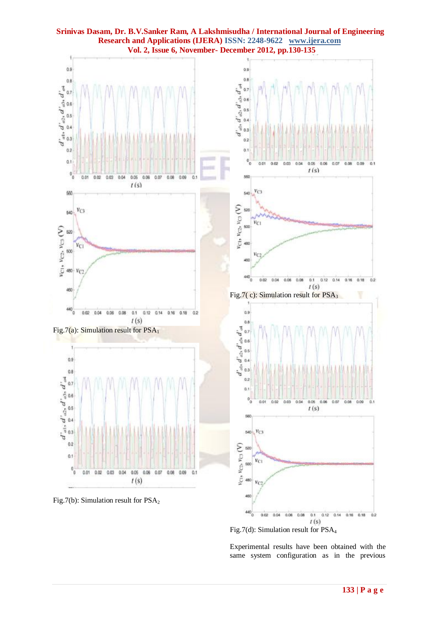

**Srinivas Dasam, Dr. B.V.Sanker Ram, A Lakshmisudha / International Journal of Engineering Research and Applications (IJERA) ISSN: 2248-9622 www.ijera.com**

same system configuration as in the previous

Experimental results have been obtained with the

 $t(s)$ 

Fig.7(d): Simulation result for PSA<sup>4</sup>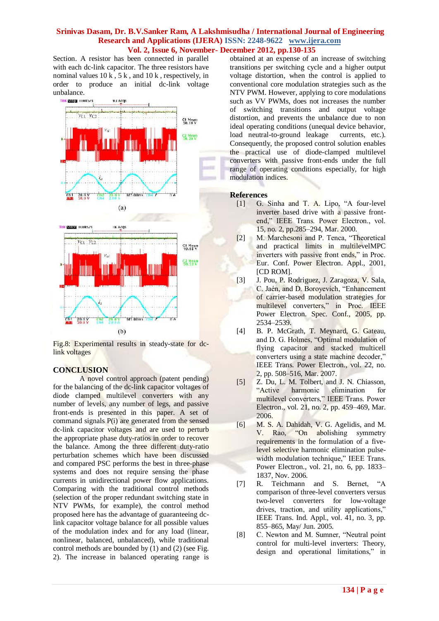Section. A resistor has been connected in parallel with each dc-link capacitor. The three resistors have nominal values  $10 \text{ k}$ ,  $5 \text{ k}$ , and  $10 \text{ k}$ , respectively, in order to produce an initial dc-link voltage unbalance.



Fig.8: Experimental results in steady-state for dclink voltages

# **CONCLUSION**

A novel control approach (patent pending) for the balancing of the dc-link capacitor voltages of diode clamped multilevel converters with any number of levels, any number of legs, and passive front-ends is presented in this paper. A set of command signals P(i) are generated from the sensed dc-link capacitor voltages and are used to perturb the appropriate phase duty-ratios in order to recover the balance. Among the three different duty-ratio perturbation schemes which have been discussed and compared PSC performs the best in three-phase systems and does not require sensing the phase currents in unidirectional power flow applications. Comparing with the traditional control methods (selection of the proper redundant switching state in NTV PWMs, for example), the control method proposed here has the advantage of guaranteeing dclink capacitor voltage balance for all possible values of the modulation index and for any load (linear, nonlinear, balanced, unbalanced), while traditional control methods are bounded by (1) and (2) (see Fig. 2). The increase in balanced operating range is obtained at an expense of an increase of switching transitions per switching cycle and a higher output voltage distortion, when the control is applied to conventional core modulation strategies such as the NTV PWM. However, applying to core modulations such as VV PWMs, does not increases the number of switching transitions and output voltage distortion, and prevents the unbalance due to non ideal operating conditions (unequal device behavior, load neutral-to-ground leakage currents, etc.). Consequently, the proposed control solution enables the practical use of diode-clamped multilevel converters with passive front-ends under the full range of operating conditions especially, for high modulation indices.

## **References**

- [1] G. Sinha and T. A. Lipo, "A four-level inverter based drive with a passive frontend," IEEE Trans. Power Electron., vol. 15, no. 2, pp.285–294, Mar. 2000.
- [2] M. Marchesoni and P. Tenca, "Theoretical and practical limits in multilevelMPC inverters with passive front ends," in Proc. Eur. Conf. Power Electron. Appl., 2001, [CD ROM].
- [3] J. Pou, P. Rodriguez, J. Zaragoza, V. Sala, C. Jaén, and D. Boroyevich, "Enhancement of carrier-based modulation strategies for multilevel converters," in Proc. IEEE Power Electron. Spec. Conf., 2005, pp. 2534–2539.
- [4] B. P. McGrath, T. Meynard, G. Gateau, and D. G. Holmes, "Optimal modulation of flying capacitor and stacked multicell converters using a state machine decoder," IEEE Trans. Power Electron., vol. 22, no. 2, pp. 508–516, Mar. 2007.
- [5] Z. Du, L. M. Tolbert, and J. N. Chiasson, "Active harmonic elimination for multilevel converters," IEEE Trans. Power Electron., vol. 21, no. 2, pp. 459–469, Mar. 2006.
- [6] M. S. A. Dahidah, V. G. Agelidis, and M. V. Rao, "On abolishing symmetry requirements in the formulation of a fivelevel selective harmonic elimination pulsewidth modulation technique," IEEE Trans. Power Electron., vol. 21, no. 6, pp. 1833– 1837, Nov. 2006.
- [7] R. Teichmann and S. Bernet, "A comparison of three-level converters versus two-level converters for low-voltage drives, traction, and utility applications," IEEE Trans. Ind. Appl., vol. 41, no. 3, pp. 855–865, May/ Jun. 2005.
- [8] C. Newton and M. Sumner, "Neutral point" control for multi-level inverters: Theory, design and operational limitations," in